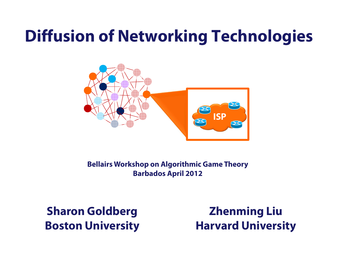## **Diffusion of Networking Technologies**



**Bellairs Workshop on Algorithmic Game Theory Barbados April 2012**

**Sharon Goldberg Boston University**

**Zhenming Liu Harvard University**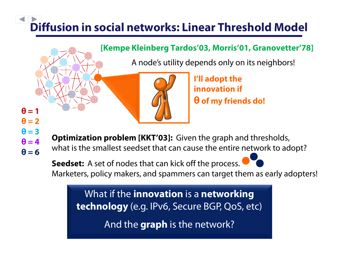# **Diffusion in social networks: Linear Threshold Model**

#### **[Kempe Kleinberg Tardos'03, Morris'01, Granovetter'78]**

A node's utility depends only on its neighbors!



**I'll adopt the innovation if θ of my friends do!** 

 $\theta = 1$  $\theta = 2$  $\theta = 3$  $\theta = 4$  $\theta = 6$ 

**Optimization problem [KKT'03]:** Given the graph and thresholds, what is the smallest seedset that can cause the entire network to adopt?

Seedset: A set of nodes that can kick off the process. Marketers, policy makers, and spammers can target them as early adopters!

What if the **innovation** is a **networking technology** (e.g. IPv6, Secure BGP, QoS, etc)

And the **graph** is the network?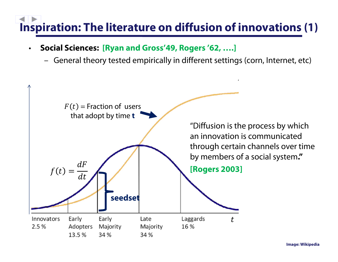## **Inspiration: The literature on diffusion of innovations (1)**

- • **Social Sciences: [Ryan and Gross'49, Rogers '62, ….]**
	- –General theory tested empirically in different settings (corn, Internet, etc)

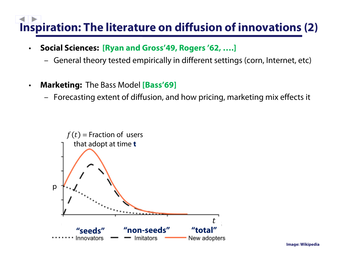## **Inspiration: The literature on diffusion of innovations (2)**

- • **Social Sciences: [Ryan and Gross'49, Rogers '62, ….]**
	- –General theory tested empirically in different settings (corn, Internet, etc)
- $\bullet$  **Marketing:** The Bass Model **[Bass'69]**
	- –Forecasting extent of diffusion, and how pricing, marketing mix effects it

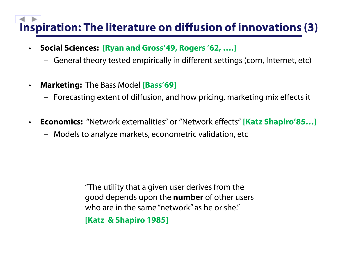## **Inspiration: The literature on diffusion of innovations (3)**

- $\bullet$  **Social Sciences: [Ryan and Gross'49, Rogers '62, ….]**
	- General theory tested empirically in different settings (corn, Internet, etc)
- $\bullet$  **Marketing:** The Bass Model **[Bass'69]**
	- Forecasting extent of diffusion, and how pricing, marketing mix effects it
- $\bullet$  **Economics:** "Network externalities" or "Network effects" **[Katz Shapiro'85…]** 
	- Models to analyze markets, econometric validation, etc

"The utility that a given user derives from the good depends upon the **number** of other users who are in the same "network" as he or she."

**[Katz & Shapiro 1985]**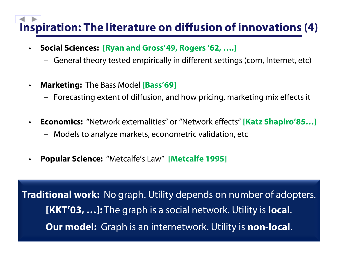## **Inspiration: The literature on diffusion of innovations (4)**

- $\bullet$  **Social Sciences: [Ryan and Gross'49, Rogers '62, ….]**
	- –General theory tested empirically in different settings (corn, Internet, etc)
- $\bullet$  **Marketing:** The Bass Model **[Bass'69]**
	- –Forecasting extent of diffusion, and how pricing, marketing mix effects it
- $\bullet$  **Economics:** "Network externalities" or "Network effects" **[Katz Shapiro'85…]** 
	- –Models to analyze markets, econometric validation, etc
- •**Popular Science:** "Metcalfe's Law" **[Metcalfe 1995]**

number of the utility that is single user that the single user  $\frac{1}{2}$ **[KKT'03, …]:** The graph is a social network. Utility is **local**. **Our model:** Graph is an internetwork. Utility is **non-local**. **Traditional work:** No graph. Utility depends on number of adopters.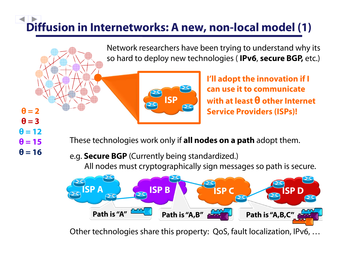# **Diffusion in Internetworks: A new, non-local model (1)**

Network researchers have been trying to understand why its so hard to deploy new technologies ( **IPv6**, **secure BGP,** etc.)



**I'll adopt the innovation if I can use it to communicate with at least θ other Internet Service Providers (ISPs)!**

- $\theta = 2$  $\theta = 3$  $\theta = 12$  $\theta$  **= 15**  $\theta = 16$
- These technologies work only if **all nodes on a path** adopt them.
	- e.g. **Secure BGP** (Currently being standardized.) All nodes must cryptographically sign messages so path is secure.



Other technologies share this property: QoS, fault localization, IPv6, …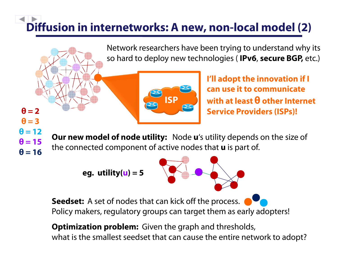# **Diffusion in internetworks: A new, non-local model (2)**

Network researchers have been trying to understand why its so hard to deploy new technologies ( **IPv6**, **secure BGP,** etc.)



**I'll adopt the innovation if I can use it to communicate with at least θ other Internet Service Providers (ISPs)!**

 $\theta = 2$  $\theta = 3$  $\theta$  = 12  $\theta = 15$  $\theta = 16$ 

**Our new model of node utility:** Node **<sup>u</sup>**'s utility depends on the size of the connected component of active nodes that **u** is part of.

**eg. utility( u) = 5**



**Seedset:** A set of nodes that can kick off the process. Policy makers, regulatory groups can target them as early adopters!

**Optimization problem:** Given the graph and thresholds, what is the smallest seedset that can cause the entire network to adopt?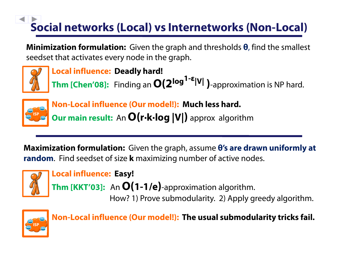# **Social networks (Local) vs Internetworks (Non-Local)**

**Minimization formulation:** Given the graph and thresholds **θ**, find the smallest seedset that activates every node in the graph.



**Local influence: Deadly hard! Thm [Chen'08]:** Finding an **O(2log1-ε|V| )**-approximation is NP hard.



**Non-Local influence (Our model!): Much less hard. Our main result:** An **O(r∙k∙log |V| )** approx algorithm

**Maximization formulation:** Given the graph, assume **θ's are drawn uniformly at random**. Find seedset of size **k** maximizing number of active nodes.



**Local influence: Easy!** 

**Thm [KKT'03]:** An **O(1-1/e )**-approximation algorithm. How? 1) Prove submodularity. 2) Apply greedy algorithm.



**Non-Local influence (Our model!): The usual submodularity tricks fail.**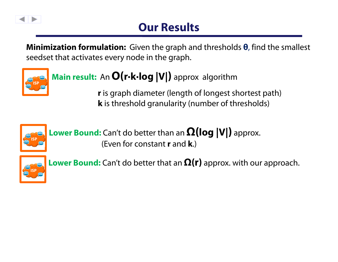

### **Our Results**

**Minimization formulation:** Given the graph and thresholds **θ**, find the smallest seedset that activates every node in the graph.



### **Main result:** An **O(r∙k∙log |V|)** approx algorithm

**<sup>r</sup>**is graph diameter (length of longest shortest path) **k** is threshold granularity (number of thresholds)



**Lower Bound:** Can't do better than an **Ω(log |V|)** approx. (Even for constant **r** and **k**.)



**Lower Bound:** Can't do better that an **Ω(r)** approx. with our approach.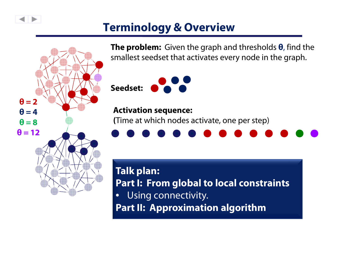

### **Terminology & Overview**



**The problem:** Given the graph and thresholds **θ**, find the smallest seedset that activates every node in the graph.



#### **Activation sequence:**

**(**Time at which nodes activate, one per step)



**Talk plan: Part I: From global to local constraints** • Using connectivity. **Part II: Approximation algorithm**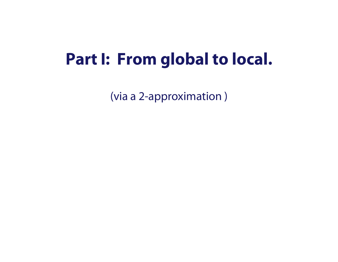### **Part I: From global to local.**

(via a 2-approximation )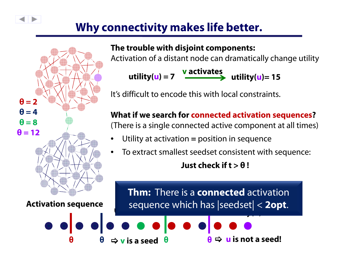### **Why connectivity makes life better.**

**θ**

 $\bullet\bullet\bullet\bullet$ 



#### **The trouble with disjoint components:**

Activation of a distant node can dramatically change utility

**utility( u) = 7 v activates utility( u)= 15**

It's difficult to encode this with local constraints.

**What if we search for connected activation sequences ?**

(There is a single connected active component at all times)

- Utility at activation **=** position in sequence
- To extract smallest seedset consistent with sequence: **Just check if t > θ !**

**utility( u) = 15 > utility( v) < θ** sequence which has |seedset| < **2opt**.**Thm:** There is a **connected** activation

**θ**>**u is not a seed!**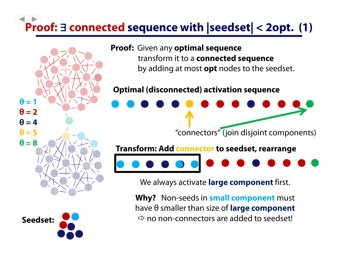## **Proof:**  $\exists$  **connected sequence with**  $|\texttt{seedset}|$  **< 2opt. (1)**





**Proof:** Given any **optimal sequence**  transform it to a **connected sequence** by adding at most **opt** nodes to the seedset.

#### **Optimal (disconnected) activation sequence**

"connectors" (join disjoint components)

**Transform: Add connector to seedset, rearrange**



We always activate **large component** first.

**Why?** Non-seeds in **small component** must have θ smaller than size of **large component**  $\Rightarrow$  no non-connectors are added to seedset!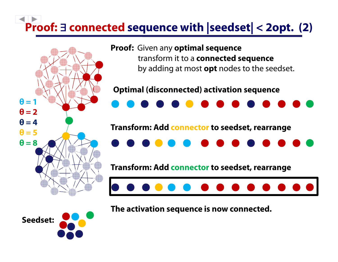# **Proof: connected sequence with |seedset| < 2opt. (2)**



**Proof:** Given any **optimal sequence**  transform it to a **connected sequence** by adding at most **opt** nodes to the seedset.

#### **Optimal (disconnected) activation sequence**



#### **Transform: Add connector to seedset, rearrange**



**Transform: Add connector to seedset, rearrange**



**Seedset:** 

**The activation sequence is now connected.**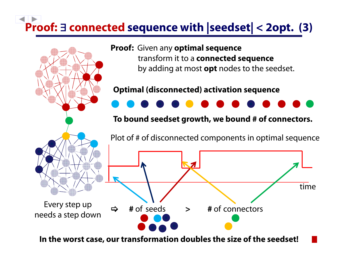# **Proof: connected sequence with |seedset| < 2opt. (3)**



**In the worst case, our transformation doubles the size of the seedset!**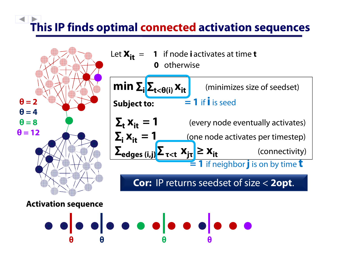# **This IP finds optimal connected activation sequences**





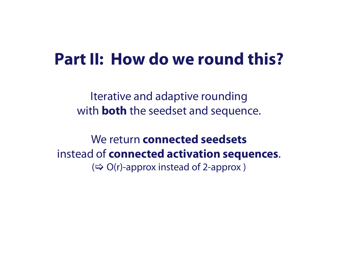### **Part II: How do we round this?**

Iterative and adaptive rounding with **both** the seedset and sequence.

We return **connected seedsets**instead of **connected activation sequences**.  $(\Rightarrow$  O(r)-approx instead of 2-approx)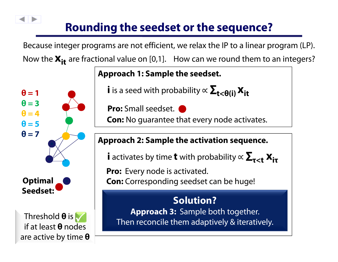### **Rounding the seedset or the sequence?**

Because integer programs are not efficient, we relax the IP to a linear program (LP). Now the  $\boldsymbol{\mathsf{X}}_\mathsf{it}$  are fractional value on [0,1]. How can we round them to an integers?



**Approach 1: Sample the seedset.**

 $\boldsymbol{i}$  is a seed with probability  $\propto \boldsymbol{\Sigma_{t<\theta(i)}}\,\boldsymbol{\mathrm{X_{it}}}$ 

**Pro:** Small seedset.

**Con:** No guarantee that every node activates.

#### **Approach 2: Sample the activation sequence.**

**i** activates by time **t** with probability ∝  $\mathbf{\Sigma}_{\tau < t}$   $\mathbf{x}_{i\tau}$ 

**Pro:** Every node is activated.

**Con:** Corresponding seedset can be huge!

### 3 2 **Solution?**

**Necessary** 

**θθθθθ**Then reconcile them adaptively & iteratively.**Approach 3:** Sample both together.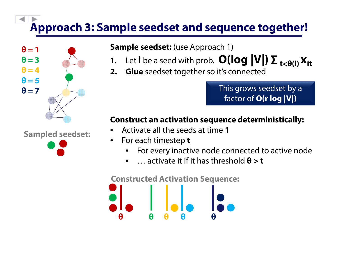## **Approach 3: Sample seedset and sequence together!**



#### **Sample seedset:** (use Approach 1)

- 1. Let **i** be a seed with prob.  $\mathbf{O}(\log |\mathbf{V}|) \mathbf{\Sigma}_{\mathbf{t} < \mathbf{\theta}(\mathbf{i})} \mathbf{x_{it}}$
- **2. Glue** seedset together so it's connected

This grows seedset by a factor of **O(r log |V|)**

#### **Construct an activation sequence deterministically:**

- •Activate all the seeds at time **1**
- •For each timestep **<sup>t</sup>**

**θ**

- •For every inactive node connected to active node
- •… activate it if it has threshold **θ > t**

**Constructed Activation Sequence:**

**θ θ θ θ**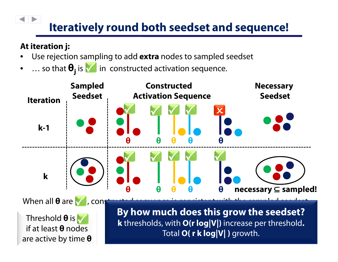### **Iteratively round both seedset and sequence!**

#### **At iteration j:**

- •Use rejection sampling to add **extra** nodes to sampled seedset
- ••  $\ldots$  so that  $\Theta_j$  is  $\blacktriangledown$  in constructed activation sequence.

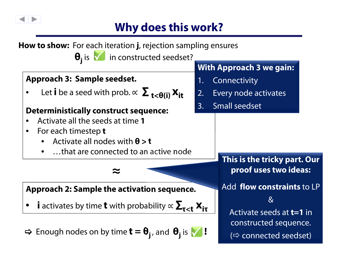

### **Why does this work?**

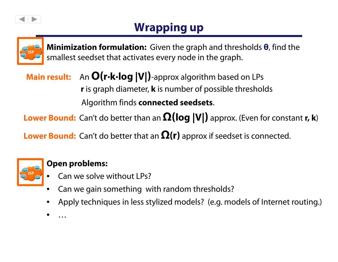

### **Wrapping up**



**Minimization formulation:** Given the graph and thresholds **θ**, find the smallest seedset that activates every node in the graph.

**Main result:** An **O(r∙k∙log |V|)**-approx algorithm based on LPs **<sup>r</sup>**is graph diameter, **k** is number of possible thresholds Algorithm finds **connected seedsets**.

**Lower Bound:** Can't do better than an **Ω(log |V|)** approx. (Even for constant **r, k**)

**Lower Bound:** Can't do better that an **Ω(r)** approx if seedset is connected.



#### **Open problems:**

- •• Can we solve without LPs?
- •Can we gain something with random thresholds?
- •Apply techniques in less stylized models? (e.g. models of Internet routing.)
- •…